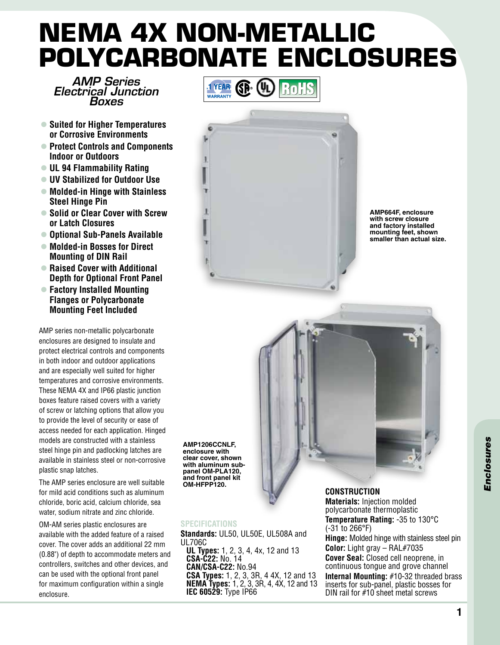## **NEMA 4X Non-Metallic Polycarbonate Enclosures**

*AMP Series Electrical Junction Boxes*

- Suited for Higher Temperatures **or Corrosive Environments**
- l **Protect Controls and Components Indoor or Outdoors**
- l **UL 94 Flammability Rating**
- l **UV Stabilized for Outdoor Use**
- Molded-in Hinge with Stainless **Steel Hinge Pin**
- Solid or Clear Cover with Screw **or Latch Closures**
- **Optional Sub-Panels Available**
- Molded-in Bosses for Direct **Mounting of DIN Rail**
- **Raised Cover with Additional Depth for Optional Front Panel**
- l **Factory Installed Mounting Flanges or Polycarbonate Mounting Feet Included**

AMP series non-metallic polycarbonate enclosures are designed to insulate and protect electrical controls and components in both indoor and outdoor applications and are especially well suited for higher temperatures and corrosive environments. These NEMA 4X and IP66 plastic junction boxes feature raised covers with a variety of screw or latching options that allow you to provide the level of security or ease of access needed for each application. Hinged models are constructed with a stainless steel hinge pin and padlocking latches are available in stainless steel or non-corrosive plastic snap latches.

The AMP series enclosure are well suitable for mild acid conditions such as aluminum chloride, boric acid, calcium chloride, sea water, sodium nitrate and zinc chloride.

OM-AM series plastic enclosures are available with the added feature of a raised cover. The cover adds an additional 22 mm (0.88") of depth to accommodate meters and controllers, switches and other devices, and can be used with the optional front panel for maximum configuration within a single enclosure.





**AMP664F, enclosure with screw closure and factory installed mounting feet, shown smaller than actual size.**



**AMP1206CCNLF, enclosure with clear cover, shown with aluminum subpanel OM-PLA120, and front panel kit OM-HFPP120.**

## **Specifications**

**Standards:** UL50, UL50E, UL508A and UL706C **UL Types:** 1, 2, 3, 4, 4x, 12 and 13 **CSA-C22:** No. 14 **CAN/CSA-C22:** No.94 **CSA Types:** 1, 2, 3, 3R, 4 4X, 12 and 13 **NEMA Types:** 1, 2, 3, 3R, 4, 4X, 12 and 13 **IEC 60529:** Type IP66

**Construction Materials:** Injection molded polycarbonate thermoplastic **Temperature Rating:** -35 to 130°C (-31 to 266°F) **Hinge:** Molded hinge with stainless steel pin **Color:** Light gray – RAL#7035 **Cover Seal:** Closed cell neoprene, in continuous tongue and grove channel **Internal Mounting:** #10-32 threaded brass inserts for sub-panel, plastic bosses for DIN rail for #10 sheet metal screws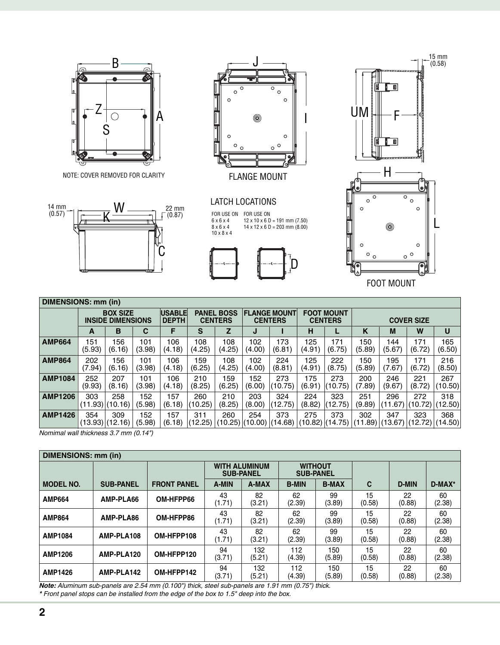

NOTE: COVER REMOVED FOR CLARITY NOTE: COVER REMOVED FOR CLARITY NOTE: COVER REMOVED FOR CLARITY





FLANGE MOUNT

**CATI**  $2T$ LATCH LOCATIONS

5UH U<br>منبو  $0 \times 0 \times$ FOR USE ON FOR USE ON<br>
6 x 6 x 4 12 x 10 x 6 D = 191<br>
8 x 6 x 4 14 x 12 x 6 D = 203<br>
10 x 8 x 4 FOR USE ON 6 x 6 x 4 8 x 6 x 4  $6 \times 6 \times 4$ <br> $8 \times 6 \times 4$ <br> $10 \times 8 \times 4$ FOR USE ON 12 x 10 x 6 D = 191 mm (7.50) 14 x 12 x 6 D = 203 mm (8.00)  $F$  6  $\overline{6}$  $\frac{12}{10}$  FOR USE ON





| DIMENSIONS: mm (in) |                                             |               |               |                               |                                     |               |                                       |                |                                     |                |                   |                |                |                |
|---------------------|---------------------------------------------|---------------|---------------|-------------------------------|-------------------------------------|---------------|---------------------------------------|----------------|-------------------------------------|----------------|-------------------|----------------|----------------|----------------|
|                     | <b>BOX SIZE</b><br><b>INSIDE DIMENSIONS</b> |               |               | <b>USABLE</b><br><b>DEPTH</b> | <b>PANEL BOSS</b><br><b>CENTERS</b> |               | <b>FLANGE MOUNT</b><br><b>CENTERS</b> |                | <b>FOOT MOUNT</b><br><b>CENTERS</b> |                | <b>COVER SIZE</b> |                |                |                |
|                     | A                                           | B             | C             | F                             | S                                   | z             | J                                     |                | н                                   |                | K                 | M              | W              | U              |
| <b>AMP664</b>       | 151<br>(5.93)                               | 156<br>(6.16) | 101<br>(3.98) | 106<br>(4.18)                 | 108<br>(4.25)                       | 108<br>(4.25) | 102<br>(4.00)                         | 173<br>(6.81)  | 125<br>(4.91)                       | 171<br>(6.75)  | 150<br>(5.89)     | 144<br>(5.67)  | 171<br>(6.72)  | 165<br>(6.50)  |
| <b>AMP864</b>       | 202<br>(7.94)                               | 156<br>(6.16) | 101<br>(3.98) | 106<br>(4.18)                 | 159<br>(6.25)                       | 108<br>(4.25) | 102<br>(4.00)                         | 224<br>(8.81)  | 125<br>(4.91)                       | 222<br>(8.75)  | 150<br>(5.89)     | 195<br>(7.67)  | 171<br>(6.72)  | 216<br>(8.50)  |
| <b>AMP1084</b>      | 252<br>(9.93)                               | 207<br>(8.16) | 101<br>(3.98) | 106<br>(4.18)                 | 210<br>(8.25)                       | 159<br>(6.25) | 152<br>(6.00)                         | 273<br>(10.75) | 175<br>(6.91)                       | 273<br>(10.75) | 200<br>(7.89)     | 246<br>(9.67)  | 221<br>(8.72)  | 267<br>(10.50) |
| <b>AMP1206</b>      | 303<br>$(11.93)$ (10.16)                    | 258           | 152<br>(5.98) | 157<br>(6.18)                 | 260<br>(10.25)                      | 210<br>(8.25) | 203<br>(8.00)                         | 324<br>(12.75) | 224<br>(8.82)                       | 323<br>(12.75) | 251<br>(9.89)     | 296<br>(11.67) | 272<br>(10.72) | 318<br>(12.50) |
| <b>AMP1426</b>      | 354<br>(13.93)(12.16)                       | 309           | 152<br>(5.98) | 157<br>(6.18)                 | 311<br>(12.25)                      | 260           | 254<br>(10.25) (10.00)                | 373<br>(14.68) | 275<br>(10.82)                      | 373<br>(14.75) | 302<br>(11.89)    | 347<br>(13.67) | 323<br>(12.72) | 368<br>(14.50) |

*Nomimal wall thickness 3.7 mm (0.14")*

| DIMENSIONS: mm (in) |                  |                    |                                                                                |               |                              |               |              |              |              |
|---------------------|------------------|--------------------|--------------------------------------------------------------------------------|---------------|------------------------------|---------------|--------------|--------------|--------------|
|                     |                  |                    | <b>WITHOUT</b><br><b>WITH ALUMINUM</b><br><b>SUB-PANEL</b><br><b>SUB-PANEL</b> |               |                              |               |              |              |              |
| <b>MODEL NO.</b>    | <b>SUB-PANEL</b> | <b>FRONT PANEL</b> | A-MIN                                                                          | A-MAX         | <b>B-MIN</b><br><b>B-MAX</b> |               | С            | <b>D-MIN</b> | $D-MAX^*$    |
| <b>AMP664</b>       | AMP-PLA66        | OM-HFPP66          | 43<br>(1.71)                                                                   | 82<br>(3.21)  | 62<br>(2.39)                 | 99<br>(3.89)  | 15<br>(0.58) | 22<br>(0.88) | 60<br>(2.38) |
| <b>AMP864</b>       | AMP-PLA86        | OM-HFPP86          | 43<br>(1.71)                                                                   | 82<br>(3.21)  | 62<br>(2.39)                 | 99<br>(3.89)  | 15<br>(0.58) | 22<br>(0.88) | 60<br>(2.38) |
| <b>AMP1084</b>      | AMP-PLA108       | OM-HFPP108         | 43<br>(1.71)                                                                   | 82<br>(3.21)  | 62<br>(2.39)                 | 99<br>(3.89)  | 15<br>(0.58) | 22<br>(0.88) | 60<br>(2.38) |
| <b>AMP1206</b>      | AMP-PLA120       | OM-HFPP120         | 94<br>(3.71)                                                                   | 132<br>(5.21) | 112<br>(4.39)                | 150<br>(5.89) | 15<br>(0.58) | 22<br>(0.88) | 60<br>(2.38) |
| <b>AMP1426</b>      | AMP-PLA142       | OM-HFPP142         | 94<br>(3.71)                                                                   | 132<br>(5.21) | 112<br>(4.39)                | 150<br>(5.89) | 15<br>(0.58) | 22<br>(0.88) | 60<br>(2.38) |

*Note: Aluminum sub-panels are 2.54 mm (0.100") thick, steel sub-panels are 1.91 mm (0.75") thick. \* Front panel stops can be installed from the edge of the box to 1.5" deep into the box.*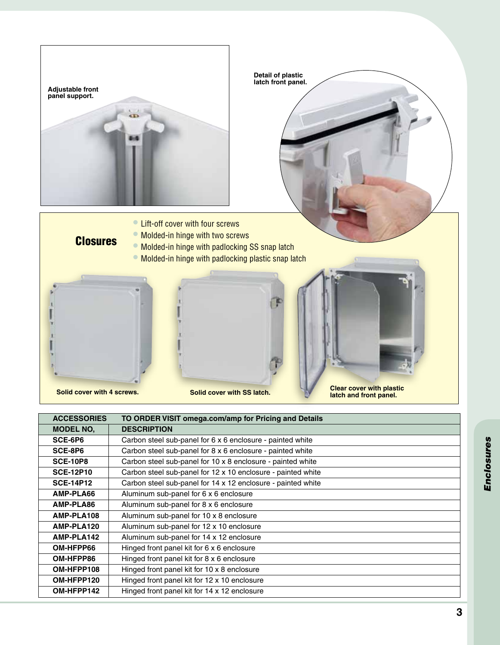

| <b>ACCESSORIES</b> | TO ORDER VISIT omega.com/amp for Pricing and Details         |  |  |  |  |
|--------------------|--------------------------------------------------------------|--|--|--|--|
| <b>MODEL NO.</b>   | <b>DESCRIPTION</b>                                           |  |  |  |  |
| SCE-6P6            | Carbon steel sub-panel for 6 x 6 enclosure - painted white   |  |  |  |  |
| SCE-8P6            | Carbon steel sub-panel for 8 x 6 enclosure - painted white   |  |  |  |  |
| <b>SCE-10P8</b>    | Carbon steel sub-panel for 10 x 8 enclosure - painted white  |  |  |  |  |
| <b>SCE-12P10</b>   | Carbon steel sub-panel for 12 x 10 enclosure - painted white |  |  |  |  |
| <b>SCE-14P12</b>   | Carbon steel sub-panel for 14 x 12 enclosure - painted white |  |  |  |  |
| AMP-PLA66          | Aluminum sub-panel for 6 x 6 enclosure                       |  |  |  |  |
| AMP-PLA86          | Aluminum sub-panel for 8 x 6 enclosure                       |  |  |  |  |
| AMP-PLA108         | Aluminum sub-panel for 10 x 8 enclosure                      |  |  |  |  |
| AMP-PLA120         | Aluminum sub-panel for 12 x 10 enclosure                     |  |  |  |  |
| AMP-PLA142         | Aluminum sub-panel for 14 x 12 enclosure                     |  |  |  |  |
| OM-HFPP66          | Hinged front panel kit for 6 x 6 enclosure                   |  |  |  |  |
| OM-HFPP86          | Hinged front panel kit for 8 x 6 enclosure                   |  |  |  |  |
| OM-HFPP108         | Hinged front panel kit for 10 x 8 enclosure                  |  |  |  |  |
| OM-HFPP120         | Hinged front panel kit for 12 x 10 enclosure                 |  |  |  |  |
| OM-HFPP142         | Hinged front panel kit for 14 x 12 enclosure                 |  |  |  |  |